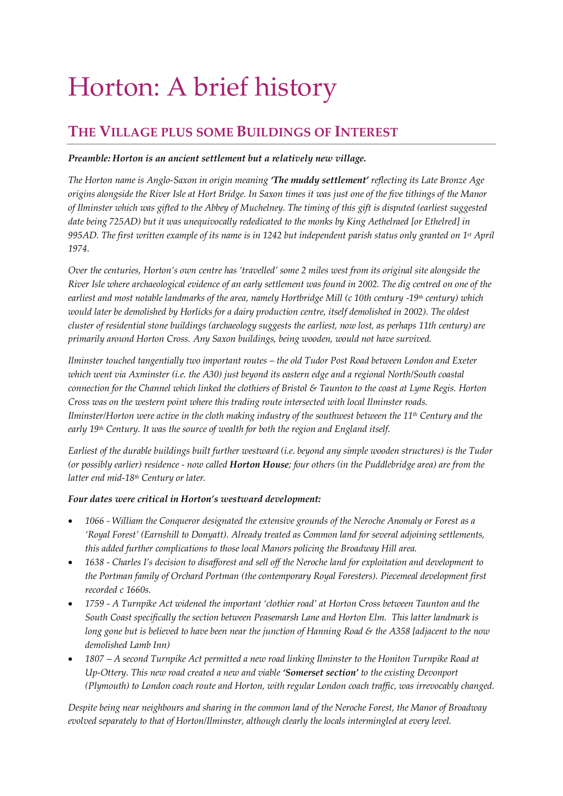# Horton: A brief history

## **THE VILLAGE PLUS SOME BUILDINGS OF INTEREST**

### *Preamble: Horton is an ancient settlement but a relatively new village.*

*The Horton name is Anglo-Saxon in origin meaning 'The muddy settlement' reflecting its Late Bronze Age origins alongside the River Isle at Hort Bridge. In Saxon times it was just one of the five tithings of the Manor of Ilminster which was gifted to the Abbey of Muchelney. The timing of this gift is disputed (earliest suggested date being 725AD) but it was unequivocally rededicated to the monks by King Aethelraed [or Ethelred] in 995AD. The first written example of its name is in 1242 but independent parish status only granted on 1st April 1974.*

*Over the centuries, Horton's own centre has 'travelled' some 2 miles west from its original site alongside the River Isle where archaeological evidence of an early settlement was found in 2002. The dig centred on one of the earliest and most notable landmarks of the area, namely Hortbridge Mill (c 10th century -19th century) which would later be demolished by Horlicks for a dairy production centre, itself demolished in 2002). The oldest cluster of residential stone buildings (archaeology suggests the earliest, now lost, as perhaps 11th century) are primarily around Horton Cross. Any Saxon buildings, being wooden, would not have survived.* 

*Ilminster touched tangentially two important routes – the old Tudor Post Road between London and Exeter which went via Axminster (i.e. the A30) just beyond its eastern edge and a regional North/South coastal connection for the Channel which linked the clothiers of Bristol & Taunton to the coast at Lyme Regis. Horton Cross was on the western point where this trading route intersected with local Ilminster roads. Ilminster/Horton were active in the cloth making industry of the southwest between the 11th Century and the early 19th Century. It was the source of wealth for both the region and England itself.*

*Earliest of the durable buildings built further westward (i.e. beyond any simple wooden structures) is the Tudor (or possibly earlier) residence - now called Horton House; four others (in the Puddlebridge area) are from the latter end mid-18th Century or later.*

#### *Four dates were critical in Horton's westward development:*

- *1066 - William the Conqueror designated the extensive grounds of the Neroche Anomaly or Forest as a 'Royal Forest' (Earnshill to Donyatt). Already treated as Common land for several adjoining settlements, this added further complications to those local Manors policing the Broadway Hill area.*
- *1638 - Charles I's decision to disafforest and sell off the Neroche land for exploitation and development to the Portman family of Orchard Portman (the contemporary Royal Foresters). Piecemeal development first recorded c 1660s.*
- *1759 - A Turnpike Act widened the important 'clothier road' at Horton Cross between Taunton and the South Coast specifically the section between Peasemarsh Lane and Horton Elm. This latter landmark is long gone but is believed to have been near the junction of Hanning Road & the A358 [adjacent to the now demolished Lamb Inn)*
- *1807 – A second Turnpike Act permitted a new road linking Ilminster to the Honiton Turnpike Road at Up-Ottery. This new road created a new and viable 'Somerset section' to the existing Devonport (Plymouth) to London coach route and Horton, with regular London coach traffic, was irrevocably changed.*

*Despite being near neighbours and sharing in the common land of the Neroche Forest, the Manor of Broadway evolved separately to that of Horton/Ilminster, although clearly the locals intermingled at every level.*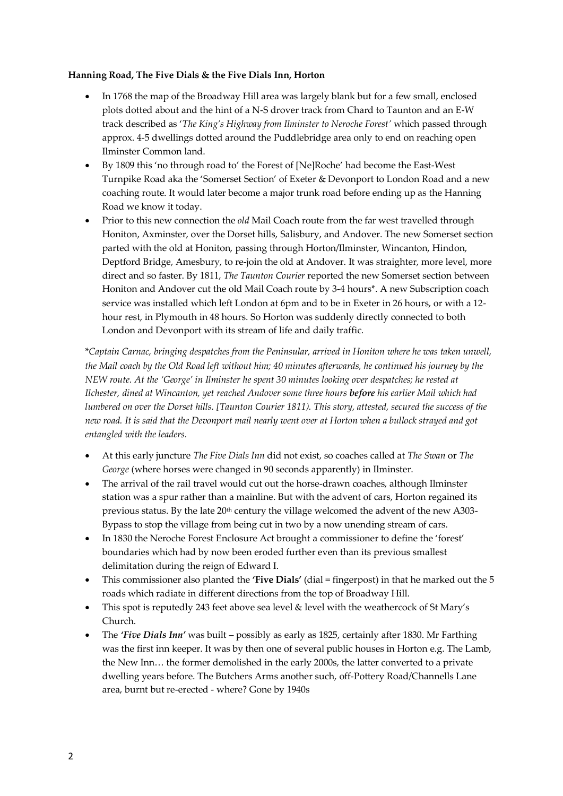#### **Hanning Road, The Five Dials & the Five Dials Inn, Horton**

- In 1768 the map of the Broadway Hill area was largely blank but for a few small, enclosed plots dotted about and the hint of a N-S drover track from Chard to Taunton and an E-W track described as '*The King's Highway from Ilminster to Neroche Forest'* which passed through approx. 4-5 dwellings dotted around the Puddlebridge area only to end on reaching open Ilminster Common land.
- By 1809 this 'no through road to' the Forest of [Ne]Roche' had become the East-West Turnpike Road aka the 'Somerset Section' of Exeter & Devonport to London Road and a new coaching route. It would later become a major trunk road before ending up as the Hanning Road we know it today.
- Prior to this new connection the *old* Mail Coach route from the far west travelled through Honiton, Axminster, over the Dorset hills, Salisbury, and Andover. The new Somerset section parted with the old at Honiton, passing through Horton/Ilminster, Wincanton, Hindon, Deptford Bridge, Amesbury, to re-join the old at Andover. It was straighter, more level, more direct and so faster. By 1811, *The Taunton Courier* reported the new Somerset section between Honiton and Andover cut the old Mail Coach route by 3-4 hours\*. A new Subscription coach service was installed which left London at 6pm and to be in Exeter in 26 hours, or with a 12 hour rest, in Plymouth in 48 hours. So Horton was suddenly directly connected to both London and Devonport with its stream of life and daily traffic.

\**Captain Carnac, bringing despatches from the Peninsular, arrived in Honiton where he was taken unwell, the Mail coach by the Old Road left without him; 40 minutes afterwards, he continued his journey by the NEW route. At the 'George' in Ilminster he spent 30 minutes looking over despatches; he rested at Ilchester, dined at Wincanton, yet reached Andover some three hours before his earlier Mail which had lumbered on over the Dorset hills. [Taunton Courier 1811). This story, attested, secured the success of the new road. It is said that the Devonport mail nearly went over at Horton when a bullock strayed and got entangled with the leaders.*

- At this early juncture *The Five Dials Inn* did not exist, so coaches called at *The Swan* or *The George* (where horses were changed in 90 seconds apparently) in Ilminster.
- The arrival of the rail travel would cut out the horse-drawn coaches, although Ilminster station was a spur rather than a mainline. But with the advent of cars, Horton regained its previous status. By the late 20<sup>th</sup> century the village welcomed the advent of the new A303-Bypass to stop the village from being cut in two by a now unending stream of cars.
- In 1830 the Neroche Forest Enclosure Act brought a commissioner to define the 'forest' boundaries which had by now been eroded further even than its previous smallest delimitation during the reign of Edward I.
- This commissioner also planted the **'Five Dials'** (dial = fingerpost) in that he marked out the 5 roads which radiate in different directions from the top of Broadway Hill.
- This spot is reputedly 243 feet above sea level & level with the weathercock of St Mary's Church.
- The *'Five Dials Inn'* was built possibly as early as 1825, certainly after 1830. Mr Farthing was the first inn keeper. It was by then one of several public houses in Horton e.g. The Lamb, the New Inn… the former demolished in the early 2000s, the latter converted to a private dwelling years before. The Butchers Arms another such, off-Pottery Road/Channells Lane area, burnt but re-erected - where? Gone by 1940s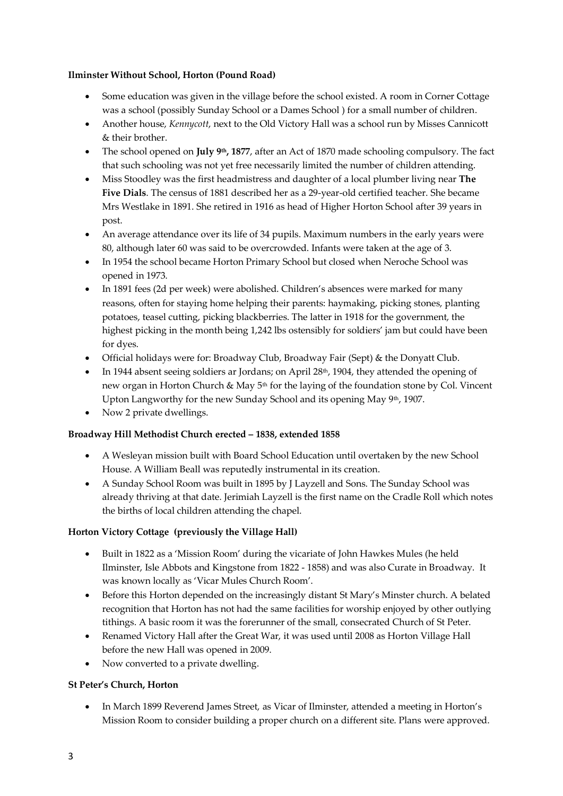#### **Ilminster Without School, Horton (Pound Road)**

- Some education was given in the village before the school existed. A room in Corner Cottage was a school (possibly Sunday School or a Dames School ) for a small number of children.
- Another house, *Kennycott*, next to the Old Victory Hall was a school run by Misses Cannicott & their brother.
- The school opened on **July 9th, 1877**, after an Act of 1870 made schooling compulsory. The fact that such schooling was not yet free necessarily limited the number of children attending.
- Miss Stoodley was the first headmistress and daughter of a local plumber living near **The Five Dials**. The census of 1881 described her as a 29-year-old certified teacher. She became Mrs Westlake in 1891. She retired in 1916 as head of Higher Horton School after 39 years in post.
- An average attendance over its life of 34 pupils. Maximum numbers in the early years were 80, although later 60 was said to be overcrowded. Infants were taken at the age of 3.
- In 1954 the school became Horton Primary School but closed when Neroche School was opened in 1973.
- In 1891 fees (2d per week) were abolished. Children's absences were marked for many reasons, often for staying home helping their parents: haymaking, picking stones, planting potatoes, teasel cutting, picking blackberries. The latter in 1918 for the government, the highest picking in the month being 1,242 lbs ostensibly for soldiers' jam but could have been for dyes.
- Official holidays were for: Broadway Club, Broadway Fair (Sept) & the Donyatt Club.
- In 1944 absent seeing soldiers ar Jordans; on April 28<sup>th</sup>, 1904, they attended the opening of new organ in Horton Church & May 5<sup>th</sup> for the laying of the foundation stone by Col. Vincent Upton Langworthy for the new Sunday School and its opening May 9<sup>th</sup>, 1907.
- Now 2 private dwellings.

#### **Broadway Hill Methodist Church erected – 1838, extended 1858**

- A Wesleyan mission built with Board School Education until overtaken by the new School House. A William Beall was reputedly instrumental in its creation.
- A Sunday School Room was built in 1895 by J Layzell and Sons. The Sunday School was already thriving at that date. Jerimiah Layzell is the first name on the Cradle Roll which notes the births of local children attending the chapel.

#### **Horton Victory Cottage (previously the Village Hall)**

- Built in 1822 as a 'Mission Room' during the vicariate of John Hawkes Mules (he held Ilminster, Isle Abbots and Kingstone from 1822 - 1858) and was also Curate in Broadway. It was known locally as 'Vicar Mules Church Room'.
- Before this Horton depended on the increasingly distant St Mary's Minster church. A belated recognition that Horton has not had the same facilities for worship enjoyed by other outlying tithings. A basic room it was the forerunner of the small, consecrated Church of St Peter.
- Renamed Victory Hall after the Great War, it was used until 2008 as Horton Village Hall before the new Hall was opened in 2009.
- Now converted to a private dwelling.

#### **St Peter's Church, Horton**

• In March 1899 Reverend James Street, as Vicar of Ilminster, attended a meeting in Horton's Mission Room to consider building a proper church on a different site. Plans were approved.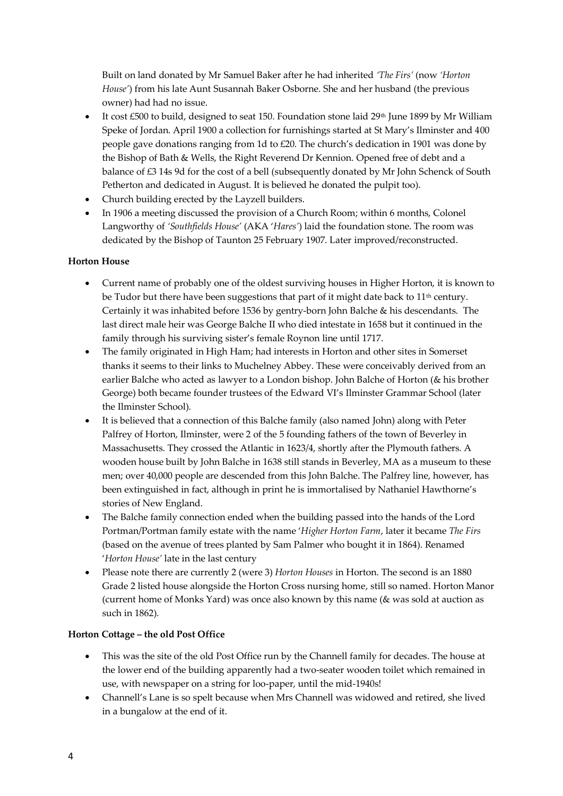Built on land donated by Mr Samuel Baker after he had inherited *'The Firs'* (now *'Horton House'*) from his late Aunt Susannah Baker Osborne. She and her husband (the previous owner) had had no issue.

- It cost £500 to build, designed to seat 150. Foundation stone laid 29<sup>th</sup> June 1899 by Mr William Speke of Jordan. April 1900 a collection for furnishings started at St Mary's Ilminster and 400 people gave donations ranging from 1d to £20. The church's dedication in 1901 was done by the Bishop of Bath & Wells, the Right Reverend Dr Kennion. Opened free of debt and a balance of £3 14s 9d for the cost of a bell (subsequently donated by Mr John Schenck of South Petherton and dedicated in August. It is believed he donated the pulpit too).
- Church building erected by the Layzell builders.
- In 1906 a meeting discussed the provision of a Church Room; within 6 months, Colonel Langworthy of *'Southfields House'* (AKA '*Hares'*) laid the foundation stone. The room was dedicated by the Bishop of Taunton 25 February 1907. Later improved/reconstructed.

#### **Horton House**

- Current name of probably one of the oldest surviving houses in Higher Horton, it is known to be Tudor but there have been suggestions that part of it might date back to  $11<sup>th</sup>$  century. Certainly it was inhabited before 1536 by gentry-born John Balche & his descendants. The last direct male heir was George Balche II who died intestate in 1658 but it continued in the family through his surviving sister's female Roynon line until 1717.
- The family originated in High Ham; had interests in Horton and other sites in Somerset thanks it seems to their links to Muchelney Abbey. These were conceivably derived from an earlier Balche who acted as lawyer to a London bishop. John Balche of Horton (& his brother George) both became founder trustees of the Edward VI's Ilminster Grammar School (later the Ilminster School).
- It is believed that a connection of this Balche family (also named John) along with Peter Palfrey of Horton, Ilminster, were 2 of the 5 founding fathers of the town of Beverley in Massachusetts. They crossed the Atlantic in 1623/4, shortly after the Plymouth fathers. A wooden house built by John Balche in 1638 still stands in Beverley, MA as a museum to these men; over 40,000 people are descended from this John Balche. The Palfrey line, however, has been extinguished in fact, although in print he is immortalised by Nathaniel Hawthorne's stories of New England.
- The Balche family connection ended when the building passed into the hands of the Lord Portman/Portman family estate with the name '*Higher Horton Farm*, later it became *The Firs* (based on the avenue of trees planted by Sam Palmer who bought it in 1864). Renamed '*Horton House'* late in the last century
- Please note there are currently 2 (were 3) *Horton Houses* in Horton. The second is an 1880 Grade 2 listed house alongside the Horton Cross nursing home, still so named. Horton Manor (current home of Monks Yard) was once also known by this name (& was sold at auction as such in 1862).

#### **Horton Cottage – the old Post Office**

- This was the site of the old Post Office run by the Channell family for decades. The house at the lower end of the building apparently had a two-seater wooden toilet which remained in use, with newspaper on a string for loo-paper, until the mid-1940s!
- Channell's Lane is so spelt because when Mrs Channell was widowed and retired, she lived in a bungalow at the end of it.